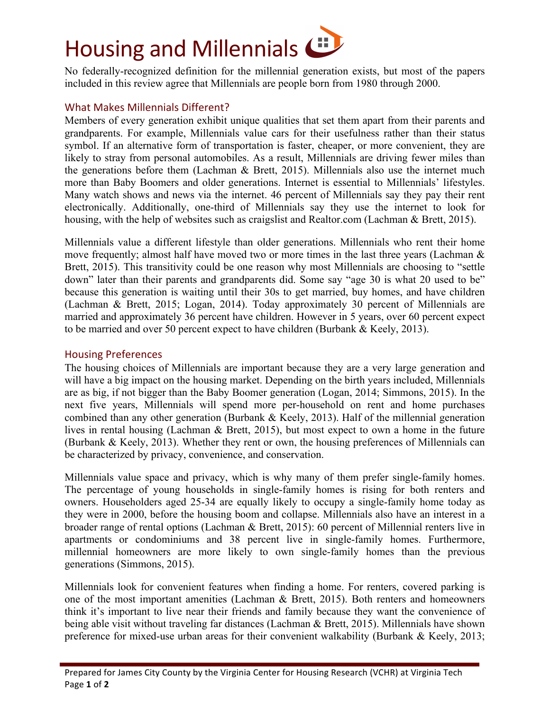

No federally-recognized definition for the millennial generation exists, but most of the papers included in this review agree that Millennials are people born from 1980 through 2000.

## What Makes Millennials Different?

Members of every generation exhibit unique qualities that set them apart from their parents and grandparents. For example, Millennials value cars for their usefulness rather than their status symbol. If an alternative form of transportation is faster, cheaper, or more convenient, they are likely to stray from personal automobiles. As a result, Millennials are driving fewer miles than the generations before them (Lachman & Brett, 2015). Millennials also use the internet much more than Baby Boomers and older generations. Internet is essential to Millennials' lifestyles. Many watch shows and news via the internet. 46 percent of Millennials say they pay their rent electronically. Additionally, one-third of Millennials say they use the internet to look for housing, with the help of websites such as craigslist and Realtor.com (Lachman & Brett, 2015).

Millennials value a different lifestyle than older generations. Millennials who rent their home move frequently; almost half have moved two or more times in the last three years (Lachman & Brett, 2015). This transitivity could be one reason why most Millennials are choosing to "settle down" later than their parents and grandparents did. Some say "age 30 is what 20 used to be" because this generation is waiting until their 30s to get married, buy homes, and have children (Lachman & Brett, 2015; Logan, 2014). Today approximately 30 percent of Millennials are married and approximately 36 percent have children. However in 5 years, over 60 percent expect to be married and over 50 percent expect to have children (Burbank & Keely, 2013).

## Housing Preferences

The housing choices of Millennials are important because they are a very large generation and will have a big impact on the housing market. Depending on the birth years included, Millennials are as big, if not bigger than the Baby Boomer generation (Logan, 2014; Simmons, 2015). In the next five years, Millennials will spend more per-household on rent and home purchases combined than any other generation (Burbank & Keely, 2013). Half of the millennial generation lives in rental housing (Lachman & Brett, 2015), but most expect to own a home in the future (Burbank & Keely, 2013). Whether they rent or own, the housing preferences of Millennials can be characterized by privacy, convenience, and conservation.

Millennials value space and privacy, which is why many of them prefer single-family homes. The percentage of young households in single-family homes is rising for both renters and owners. Householders aged 25-34 are equally likely to occupy a single-family home today as they were in 2000, before the housing boom and collapse. Millennials also have an interest in a broader range of rental options (Lachman & Brett, 2015): 60 percent of Millennial renters live in apartments or condominiums and 38 percent live in single-family homes. Furthermore, millennial homeowners are more likely to own single-family homes than the previous generations (Simmons, 2015).

Millennials look for convenient features when finding a home. For renters, covered parking is one of the most important amenities (Lachman & Brett, 2015). Both renters and homeowners think it's important to live near their friends and family because they want the convenience of being able visit without traveling far distances (Lachman & Brett, 2015). Millennials have shown preference for mixed-use urban areas for their convenient walkability (Burbank & Keely, 2013;